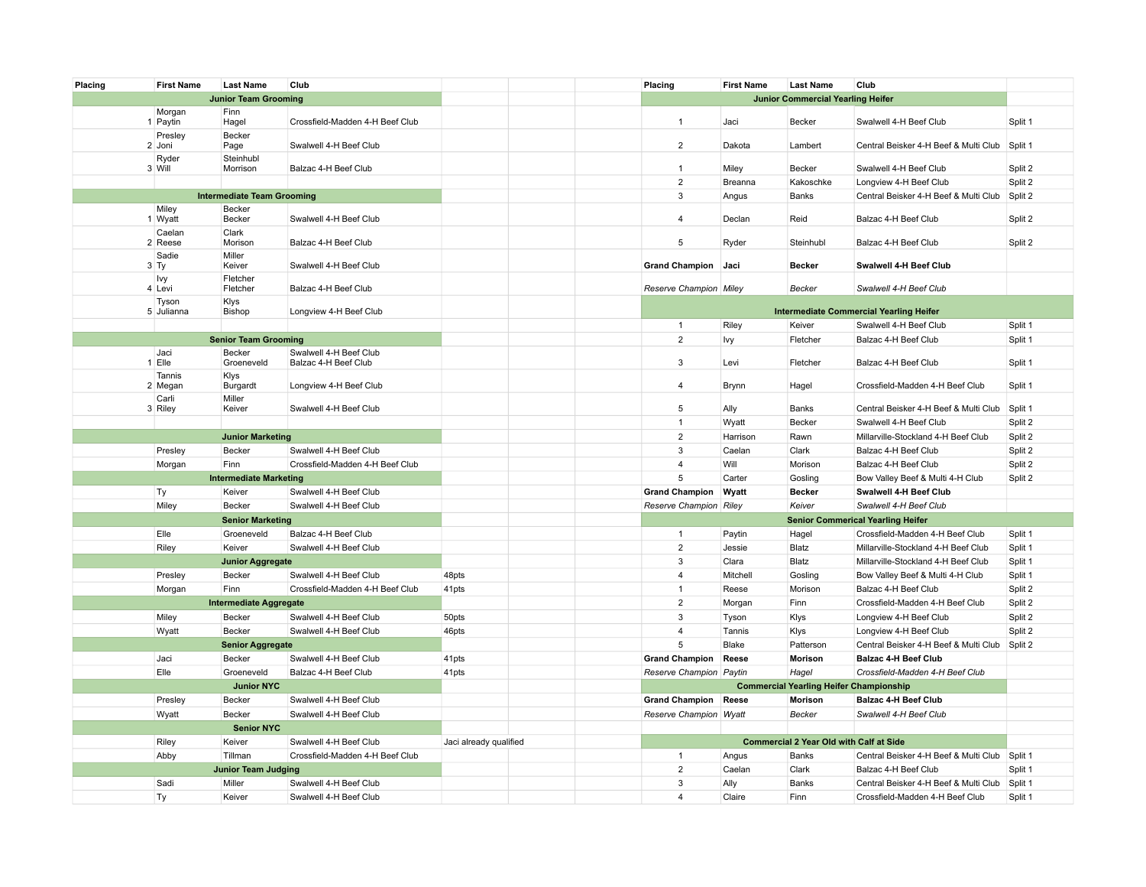| Placing | <b>First Name</b> | <b>Last Name</b>                  | Club                            |                        |  | Placing                 | <b>First Name</b> | <b>Last Name</b>                               | Club                                           |         |
|---------|-------------------|-----------------------------------|---------------------------------|------------------------|--|-------------------------|-------------------|------------------------------------------------|------------------------------------------------|---------|
|         |                   | <b>Junior Team Grooming</b>       |                                 |                        |  |                         |                   | <b>Junior Commercial Yearling Heifer</b>       |                                                |         |
|         | Morgan            | Finn                              |                                 |                        |  |                         |                   |                                                |                                                |         |
|         | 1 Paytin          | Hagel                             | Crossfield-Madden 4-H Beef Club |                        |  | $\mathbf{1}$            | Jaci              | <b>Becker</b>                                  | Swalwell 4-H Beef Club                         | Split 1 |
|         | Presley<br>2 Joni | Becker<br>Page                    | Swalwell 4-H Beef Club          |                        |  | $\overline{2}$          | Dakota            | Lambert                                        | Central Beisker 4-H Beef & Multi Club          | Split 1 |
|         | Ryder             | Steinhubl                         |                                 |                        |  |                         |                   |                                                |                                                |         |
|         | 3 Will            | Morrison                          | Balzac 4-H Beef Club            |                        |  | $\mathbf{1}$            | Miley             | Becker                                         | Swalwell 4-H Beef Club                         | Split 2 |
|         |                   |                                   |                                 |                        |  | $\overline{2}$          | Breanna           | Kakoschke                                      | Longview 4-H Beef Club                         | Split 2 |
|         |                   | <b>Intermediate Team Grooming</b> |                                 |                        |  | $\mathbf{3}$            | Angus             | Banks                                          | Central Beisker 4-H Beef & Multi Club          | Split 2 |
|         | Miley             | Becker                            |                                 |                        |  |                         |                   |                                                |                                                |         |
|         | 1 Wyatt           | Becker                            | Swalwell 4-H Beef Club          |                        |  | $\overline{4}$          | Declan            | Reid                                           | Balzac 4-H Beef Club                           | Split 2 |
|         | Caelan<br>2 Reese | Clark<br>Morison                  | Balzac 4-H Beef Club            |                        |  | 5                       | Ryder             | Steinhubl                                      | Balzac 4-H Beef Club                           | Split 2 |
|         | Sadie             | Miller                            |                                 |                        |  |                         |                   |                                                |                                                |         |
|         | $3$ Ty            | Keiver                            | Swalwell 4-H Beef Club          |                        |  | <b>Grand Champion</b>   | Jaci              | <b>Becker</b>                                  | Swalwell 4-H Beef Club                         |         |
|         | Ivy<br>4 Levi     | Fletcher<br>Fletcher              | Balzac 4-H Beef Club            |                        |  | Reserve Champion Miley  |                   | Becker                                         | Swalwell 4-H Beef Club                         |         |
|         | Tyson             | Klys                              |                                 |                        |  |                         |                   |                                                |                                                |         |
|         | 5 Julianna        | Bishop                            | Longview 4-H Beef Club          |                        |  |                         |                   |                                                | <b>Intermediate Commercial Yearling Heifer</b> |         |
|         |                   |                                   |                                 |                        |  | $\mathbf{1}$            | Riley             | Keiver                                         | Swalwell 4-H Beef Club                         | Split 1 |
|         |                   | <b>Senior Team Grooming</b>       |                                 |                        |  | $\overline{2}$          | lvy               | Fletcher                                       | Balzac 4-H Beef Club                           | Split 1 |
|         | Jaci              | Becker                            | Swalwell 4-H Beef Club          |                        |  |                         |                   |                                                |                                                |         |
|         | $1$ Elle          | Groeneveld                        | Balzac 4-H Beef Club            |                        |  | 3                       | Levi              | Fletcher                                       | Balzac 4-H Beef Club                           | Split 1 |
|         | Tannis<br>2 Megan | Klys<br>Burgardt                  | Longview 4-H Beef Club          |                        |  | 4                       | Brynn             | Hagel                                          | Crossfield-Madden 4-H Beef Club                | Split 1 |
|         | Carli             | Miller                            |                                 |                        |  |                         |                   |                                                |                                                |         |
|         | 3 Riley           | Keiver                            | Swalwell 4-H Beef Club          |                        |  | 5                       | Ally              | Banks                                          | Central Beisker 4-H Beef & Multi Club          | Split 1 |
|         |                   |                                   |                                 |                        |  | $\mathbf{1}$            | Wyatt             | <b>Becker</b>                                  | Swalwell 4-H Beef Club                         | Split 2 |
|         |                   | <b>Junior Marketing</b>           |                                 |                        |  | $\overline{2}$          | Harrison          | Rawn                                           | Millarville-Stockland 4-H Beef Club            | Split 2 |
|         | Presley           | Becker                            | Swalwell 4-H Beef Club          |                        |  | 3                       | Caelan            | Clark                                          | Balzac 4-H Beef Club                           | Split 2 |
|         | Morgan            | Finn                              | Crossfield-Madden 4-H Beef Club |                        |  | $\overline{4}$          | Will              | Morison                                        | Balzac 4-H Beef Club                           | Split 2 |
|         |                   | <b>Intermediate Marketing</b>     |                                 |                        |  | $\sqrt{5}$              | Carter            | Gosling                                        | Bow Valley Beef & Multi 4-H Club               | Split 2 |
|         | Ty                | Keiver                            | Swalwell 4-H Beef Club          |                        |  | <b>Grand Champion</b>   | Wyatt             | Becker                                         | Swalwell 4-H Beef Club                         |         |
|         | Miley             | Becker                            | Swalwell 4-H Beef Club          |                        |  | Reserve Champion Riley  |                   | Keiver                                         | Swalwell 4-H Beef Club                         |         |
|         |                   | <b>Senior Marketing</b>           |                                 |                        |  |                         |                   |                                                | <b>Senior Commerical Yearling Heifer</b>       |         |
|         | Elle              | Groeneveld                        | Balzac 4-H Beef Club            |                        |  | $\mathbf{1}$            | Paytin            | Hagel                                          | Crossfield-Madden 4-H Beef Club                | Split 1 |
|         | Riley             | Keiver                            | Swalwell 4-H Beef Club          |                        |  | $\overline{2}$          | Jessie            | Blatz                                          | Millarville-Stockland 4-H Beef Club            | Split 1 |
|         |                   | <b>Junior Aggregate</b>           |                                 |                        |  | 3                       | Clara             | Blatz                                          | Millarville-Stockland 4-H Beef Club            | Split 1 |
|         | Presley           | Becker                            | Swalwell 4-H Beef Club          | 48pts                  |  | 4                       | Mitchell          | Gosling                                        | Bow Valley Beef & Multi 4-H Club               | Split 1 |
|         | Morgan            | Finn                              | Crossfield-Madden 4-H Beef Club | 41pts                  |  | $\mathbf{1}$            | Reese             | Morison                                        | Balzac 4-H Beef Club                           | Split 2 |
|         |                   | <b>Intermediate Aggregate</b>     |                                 |                        |  | $\overline{2}$          | Morgan            | Finn                                           | Crossfield-Madden 4-H Beef Club                | Split 2 |
|         | Miley             | Becker                            | Swalwell 4-H Beef Club          | 50pts                  |  | 3                       | Tyson             | Klys                                           | Longview 4-H Beef Club                         | Split 2 |
|         | Wyatt             | Becker                            | Swalwell 4-H Beef Club          | 46pts                  |  | $\overline{4}$          | Tannis            | Klys                                           | Longview 4-H Beef Club                         | Split 2 |
|         |                   | <b>Senior Aggregate</b>           |                                 |                        |  | 5                       | Blake             | Patterson                                      | Central Beisker 4-H Beef & Multi Club          | Split 2 |
|         | Jaci              | Becker                            | Swalwell 4-H Beef Club          | 41pts                  |  | <b>Grand Champion</b>   | Reese             | Morison                                        | <b>Balzac 4-H Beef Club</b>                    |         |
|         | Elle              | Groeneveld                        | Balzac 4-H Beef Club            | 41pts                  |  | Reserve Champion Paytin |                   | Hagel                                          | Crossfield-Madden 4-H Beef Club                |         |
|         |                   | <b>Junior NYC</b>                 |                                 |                        |  |                         |                   | <b>Commercial Yearling Heifer Championship</b> |                                                |         |
|         | Presley           | Becker                            | Swalwell 4-H Beef Club          |                        |  | <b>Grand Champion</b>   | Reese             | <b>Morison</b>                                 | <b>Balzac 4-H Beef Club</b>                    |         |
|         | Wyatt             | Becker                            | Swalwell 4-H Beef Club          |                        |  | Reserve Champion Wyatt  |                   | Becker                                         | Swalwell 4-H Beef Club                         |         |
|         |                   | <b>Senior NYC</b>                 |                                 |                        |  |                         |                   |                                                |                                                |         |
|         | Riley             | Keiver                            | Swalwell 4-H Beef Club          | Jaci already qualified |  |                         |                   | <b>Commercial 2 Year Old with Calf at Side</b> |                                                |         |
|         | Abby              | Tillman                           | Crossfield-Madden 4-H Beef Club |                        |  | $\overline{1}$          | Angus             | <b>Banks</b>                                   | Central Beisker 4-H Beef & Multi Club          | Split 1 |
|         |                   | <b>Junior Team Judging</b>        |                                 |                        |  | $\overline{2}$          | Caelan            | Clark                                          | Balzac 4-H Beef Club                           | Split 1 |
|         | Sadi              | Miller                            | Swalwell 4-H Beef Club          |                        |  | 3                       | Ally              | Banks                                          | Central Beisker 4-H Beef & Multi Club          | Split 1 |
|         | Ty                | Keiver                            | Swalwell 4-H Beef Club          |                        |  | $\overline{4}$          | Claire            | Finn                                           | Crossfield-Madden 4-H Beef Club                | Split 1 |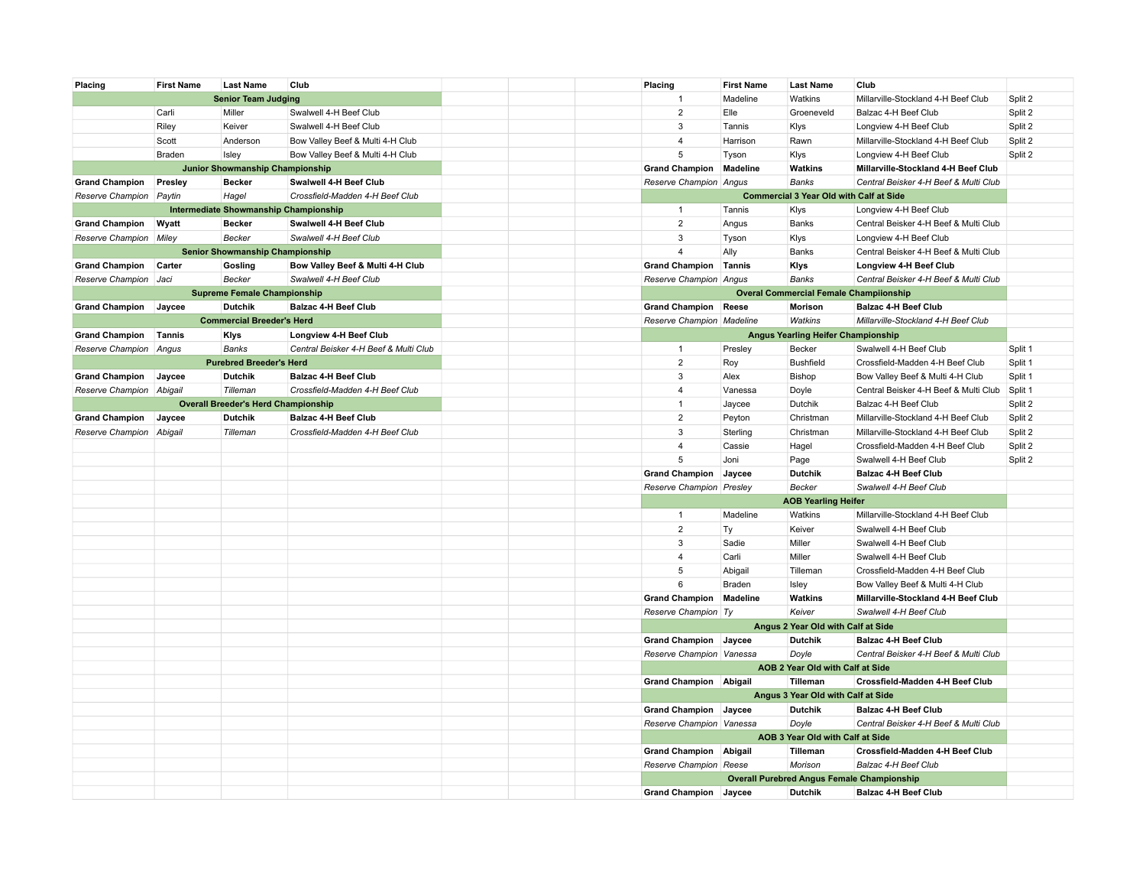| Placing                  | <b>First Name</b> | <b>Last Name</b>                           | Club                                  | Placing                      | <b>First Name</b> | <b>Last Name</b>                               | Club                                              |         |
|--------------------------|-------------------|--------------------------------------------|---------------------------------------|------------------------------|-------------------|------------------------------------------------|---------------------------------------------------|---------|
|                          |                   | <b>Senior Team Judging</b>                 |                                       | $\overline{1}$               | Madeline          | Watkins                                        | Millarville-Stockland 4-H Beef Club               | Split 2 |
|                          | Carli             | Miller                                     | Swalwell 4-H Beef Club                | $\overline{2}$               | Elle              | Groeneveld                                     | Balzac 4-H Beef Club                              | Split 2 |
|                          | Riley             | Keiver                                     | Swalwell 4-H Beef Club                | 3                            | Tannis            | Klys                                           | Longview 4-H Beef Club                            | Split 2 |
|                          | Scott             | Anderson                                   | Bow Valley Beef & Multi 4-H Club      | $\overline{4}$               | Harrison          | Rawn                                           | Millarville-Stockland 4-H Beef Club               | Split 2 |
|                          | Braden            | Isley                                      | Bow Valley Beef & Multi 4-H Club      | 5                            | Tyson             | Klys                                           | Longview 4-H Beef Club                            | Split 2 |
|                          |                   | Junior Showmanship Championship            |                                       | <b>Grand Champion</b>        | Madeline          | Watkins                                        | Millarville-Stockland 4-H Beef Club               |         |
| <b>Grand Champion</b>    | Presley           | <b>Becker</b>                              | Swalwell 4-H Beef Club                | Reserve Champion Angus       |                   | <b>Banks</b>                                   | Central Beisker 4-H Beef & Multi Club             |         |
| Reserve Champion Paytin  |                   | Hagel                                      | Crossfield-Madden 4-H Beef Club       |                              |                   | <b>Commercial 3 Year Old with Calf at Side</b> |                                                   |         |
|                          |                   | Intermediate Showmanship Championship      |                                       | $\mathbf{1}$                 | Tannis            | Klys                                           | Longview 4-H Beef Club                            |         |
| <b>Grand Champion</b>    | Wyatt             | <b>Becker</b>                              | Swalwell 4-H Beef Club                | $\overline{2}$               | Angus             | Banks                                          | Central Beisker 4-H Beef & Multi Club             |         |
| Reserve Champion         | Miley             | Becker                                     | Swalwell 4-H Beef Club                | 3                            | Tyson             | Klys                                           | Longview 4-H Beef Club                            |         |
|                          |                   | Senior Showmanship Championship            |                                       | $\overline{4}$               | Ally              | Banks                                          | Central Beisker 4-H Beef & Multi Club             |         |
| <b>Grand Champion</b>    | Carter            | Gosling                                    | Bow Valley Beef & Multi 4-H Club      | <b>Grand Champion</b>        | Tannis            | Klys                                           | Longview 4-H Beef Club                            |         |
| Reserve Champion Jaci    |                   | Becker                                     | Swalwell 4-H Beef Club                | Reserve Champion Angus       |                   | <b>Banks</b>                                   | Central Beisker 4-H Beef & Multi Club             |         |
|                          |                   | <b>Supreme Female Championship</b>         |                                       |                              |                   | <b>Overal Commercial Female Champiionship</b>  |                                                   |         |
|                          |                   | <b>Dutchik</b>                             | <b>Balzac 4-H Beef Club</b>           |                              |                   |                                                | <b>Balzac 4-H Beef Club</b>                       |         |
| <b>Grand Champion</b>    | Jaycee            |                                            |                                       | <b>Grand Champion Reese</b>  |                   | Morison                                        |                                                   |         |
|                          |                   | <b>Commercial Breeder's Herd</b>           |                                       | Reserve Champion Madeline    |                   | Watkins                                        | Millarville-Stockland 4-H Beef Club               |         |
| <b>Grand Champion</b>    | Tannis            | Klys                                       | Longview 4-H Beef Club                |                              |                   | Angus Yearling Heifer Championship             |                                                   |         |
| Reserve Champion Angus   |                   | <b>Banks</b>                               | Central Beisker 4-H Beef & Multi Club | $\mathbf{1}$                 | Presley           | Becker                                         | Swalwell 4-H Beef Club                            | Split 1 |
|                          |                   | <b>Purebred Breeder's Herd</b>             |                                       | $\overline{2}$               | Roy               | <b>Bushfield</b>                               | Crossfield-Madden 4-H Beef Club                   | Split 1 |
| <b>Grand Champion</b>    | Jaycee            | <b>Dutchik</b>                             | <b>Balzac 4-H Beef Club</b>           | 3                            | Alex              | Bishop                                         | Bow Valley Beef & Multi 4-H Club                  | Split 1 |
| Reserve Champion Abigail |                   | Tilleman                                   | Crossfield-Madden 4-H Beef Club       | 4                            | Vanessa           | Doyle                                          | Central Beisker 4-H Beef & Multi Club             | Split 1 |
|                          |                   | <b>Overall Breeder's Herd Championship</b> |                                       | $\mathbf{1}$                 | Jaycee            | Dutchik                                        | Balzac 4-H Beef Club                              | Split 2 |
| <b>Grand Champion</b>    | Jaycee            | Dutchik                                    | <b>Balzac 4-H Beef Club</b>           | $\overline{2}$               | Peyton            | Christman                                      | Millarville-Stockland 4-H Beef Club               | Split 2 |
| Reserve Champion         | Abigail           | Tilleman                                   | Crossfield-Madden 4-H Beef Club       | 3                            | Sterling          | Christman                                      | Millarville-Stockland 4-H Beef Club               | Split 2 |
|                          |                   |                                            |                                       | $\overline{4}$               | Cassie            | Hagel                                          | Crossfield-Madden 4-H Beef Club                   | Split 2 |
|                          |                   |                                            |                                       | $\sqrt{5}$                   | Joni              | Page                                           | Swalwell 4-H Beef Club                            | Split 2 |
|                          |                   |                                            |                                       | <b>Grand Champion</b>        | Jaycee            | <b>Dutchik</b>                                 | <b>Balzac 4-H Beef Club</b>                       |         |
|                          |                   |                                            |                                       | Reserve Champion Presley     |                   | Becker                                         | Swalwell 4-H Beef Club                            |         |
|                          |                   |                                            |                                       |                              |                   | <b>AOB Yearling Heifer</b>                     |                                                   |         |
|                          |                   |                                            |                                       | $\mathbf{1}$                 | Madeline          | Watkins                                        | Millarville-Stockland 4-H Beef Club               |         |
|                          |                   |                                            |                                       | $\sqrt{2}$                   | Ty                | Keiver                                         | Swalwell 4-H Beef Club                            |         |
|                          |                   |                                            |                                       | 3                            | Sadie             | Miller                                         | Swalwell 4-H Beef Club                            |         |
|                          |                   |                                            |                                       | $\overline{4}$               | Carli             | Miller                                         | Swalwell 4-H Beef Club                            |         |
|                          |                   |                                            |                                       | 5                            | Abigail           | Tilleman                                       | Crossfield-Madden 4-H Beef Club                   |         |
|                          |                   |                                            |                                       | 6                            | <b>Braden</b>     | Isley                                          | Bow Valley Beef & Multi 4-H Club                  |         |
|                          |                   |                                            |                                       | <b>Grand Champion</b>        | Madeline          | Watkins                                        | Millarville-Stockland 4-H Beef Club               |         |
|                          |                   |                                            |                                       | Reserve Champion Ty          |                   | Keiver                                         | Swalwell 4-H Beef Club                            |         |
|                          |                   |                                            |                                       |                              |                   | Angus 2 Year Old with Calf at Side             |                                                   |         |
|                          |                   |                                            |                                       | <b>Grand Champion Jaycee</b> |                   | <b>Dutchik</b>                                 | <b>Balzac 4-H Beef Club</b>                       |         |
|                          |                   |                                            |                                       | Reserve Champion Vanessa     |                   | Doyle                                          | Central Beisker 4-H Beef & Multi Club             |         |
|                          |                   |                                            |                                       |                              |                   | AOB 2 Year Old with Calf at Side               |                                                   |         |
|                          |                   |                                            |                                       | Grand Champion Abigail       |                   | Tilleman                                       | Crossfield-Madden 4-H Beef Club                   |         |
|                          |                   |                                            |                                       |                              |                   | Angus 3 Year Old with Calf at Side             |                                                   |         |
|                          |                   |                                            |                                       | Grand Champion Jaycee        |                   | <b>Dutchik</b>                                 | <b>Balzac 4-H Beef Club</b>                       |         |
|                          |                   |                                            |                                       | Reserve Champion Vanessa     |                   |                                                | Central Beisker 4-H Beef & Multi Club             |         |
|                          |                   |                                            |                                       |                              |                   | Doyle<br>AOB 3 Year Old with Calf at Side      |                                                   |         |
|                          |                   |                                            |                                       |                              |                   |                                                |                                                   |         |
|                          |                   |                                            |                                       | Grand Champion Abigail       |                   | Tilleman                                       | Crossfield-Madden 4-H Beef Club                   |         |
|                          |                   |                                            |                                       | Reserve Champion Reese       |                   | Morison                                        | Balzac 4-H Beef Club                              |         |
|                          |                   |                                            |                                       |                              |                   |                                                | <b>Overall Purebred Angus Female Championship</b> |         |
|                          |                   |                                            |                                       | Grand Champion Jaycee        |                   | <b>Dutchik</b>                                 | <b>Balzac 4-H Beef Club</b>                       |         |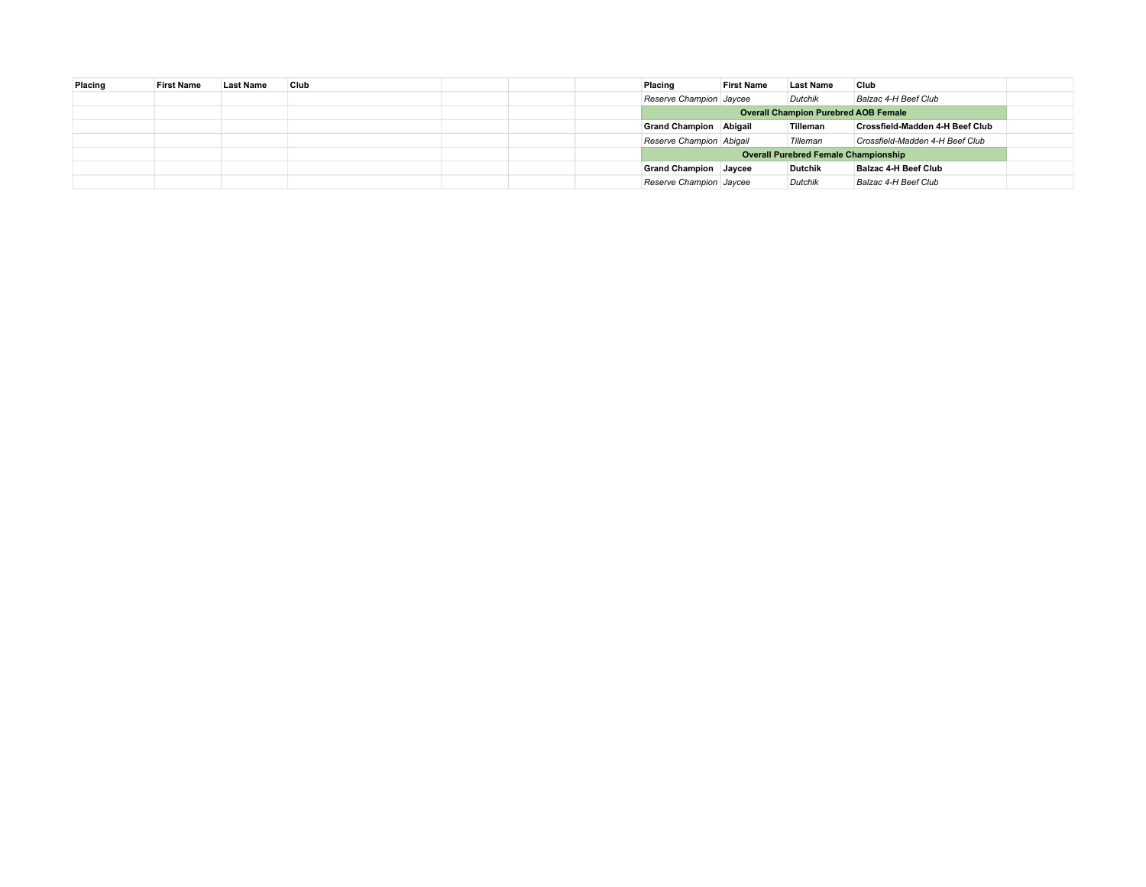| Placing | <b>First Name</b> | <b>Last Name</b> | Club |  | Placing                                     | <b>First Name</b> | <b>Last Name</b>                            | Club                                   |  |
|---------|-------------------|------------------|------|--|---------------------------------------------|-------------------|---------------------------------------------|----------------------------------------|--|
|         |                   |                  |      |  | Reserve Champion Jaycee                     |                   | <b>Dutchik</b>                              | Balzac 4-H Beef Club                   |  |
|         |                   |                  |      |  | <b>Overall Champion Purebred AOB Female</b> |                   |                                             |                                        |  |
|         |                   |                  |      |  | <b>Grand Champion Abigail</b>               |                   | Tilleman                                    | <b>Crossfield-Madden 4-H Beef Club</b> |  |
|         |                   |                  |      |  | Reserve Champion Abigail                    |                   | Tilleman                                    | Crossfield-Madden 4-H Beef Club        |  |
|         |                   |                  |      |  |                                             |                   | <b>Overall Purebred Female Championship</b> |                                        |  |
|         |                   |                  |      |  | <b>Grand Champion Jaycee</b>                |                   | <b>Dutchik</b>                              | Balzac 4-H Beef Club                   |  |
|         |                   |                  |      |  | Reserve Champion Jaycee                     |                   | Dutchik                                     | Balzac 4-H Beef Club                   |  |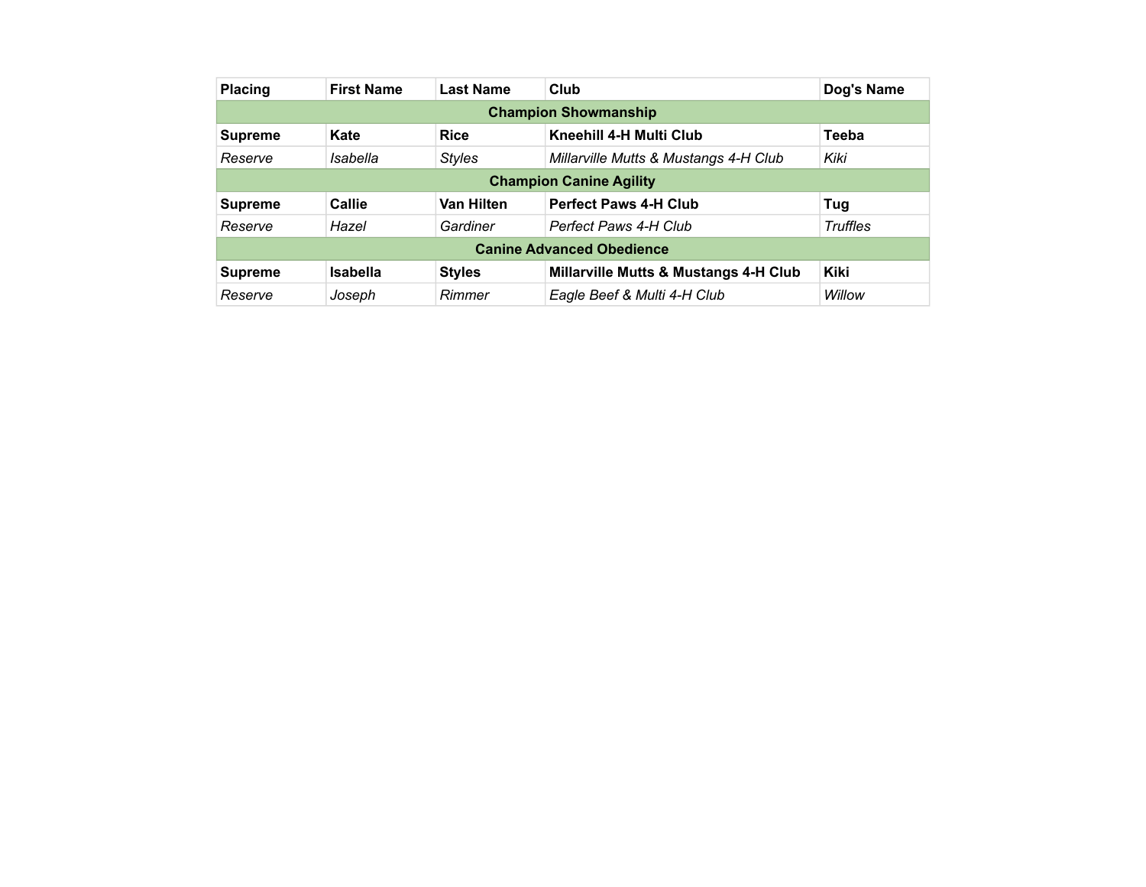| <b>Placing</b>                 | <b>First Name</b> | <b>Last Name</b>  | Club                                  | Dog's Name      |  |  |  |  |  |  |  |
|--------------------------------|-------------------|-------------------|---------------------------------------|-----------------|--|--|--|--|--|--|--|
| <b>Champion Showmanship</b>    |                   |                   |                                       |                 |  |  |  |  |  |  |  |
| <b>Supreme</b>                 | Kate              | <b>Rice</b>       | Kneehill 4-H Multi Club               | <b>Teeba</b>    |  |  |  |  |  |  |  |
| Reserve                        | Isabella          | <b>Styles</b>     | Millarville Mutts & Mustangs 4-H Club | Kiki            |  |  |  |  |  |  |  |
| <b>Champion Canine Agility</b> |                   |                   |                                       |                 |  |  |  |  |  |  |  |
| <b>Supreme</b>                 | Callie            | <b>Van Hilten</b> | <b>Perfect Paws 4-H Club</b>          | Tug             |  |  |  |  |  |  |  |
| Reserve                        | Hazel             | Gardiner          | Perfect Paws 4-H Club                 | <b>Truffles</b> |  |  |  |  |  |  |  |
|                                |                   |                   | <b>Canine Advanced Obedience</b>      |                 |  |  |  |  |  |  |  |
| <b>Supreme</b>                 | <b>Isabella</b>   | <b>Styles</b>     | Millarville Mutts & Mustangs 4-H Club | <b>Kiki</b>     |  |  |  |  |  |  |  |
| Reserve                        | Joseph            | Rimmer            | Eagle Beef & Multi 4-H Club           | Willow          |  |  |  |  |  |  |  |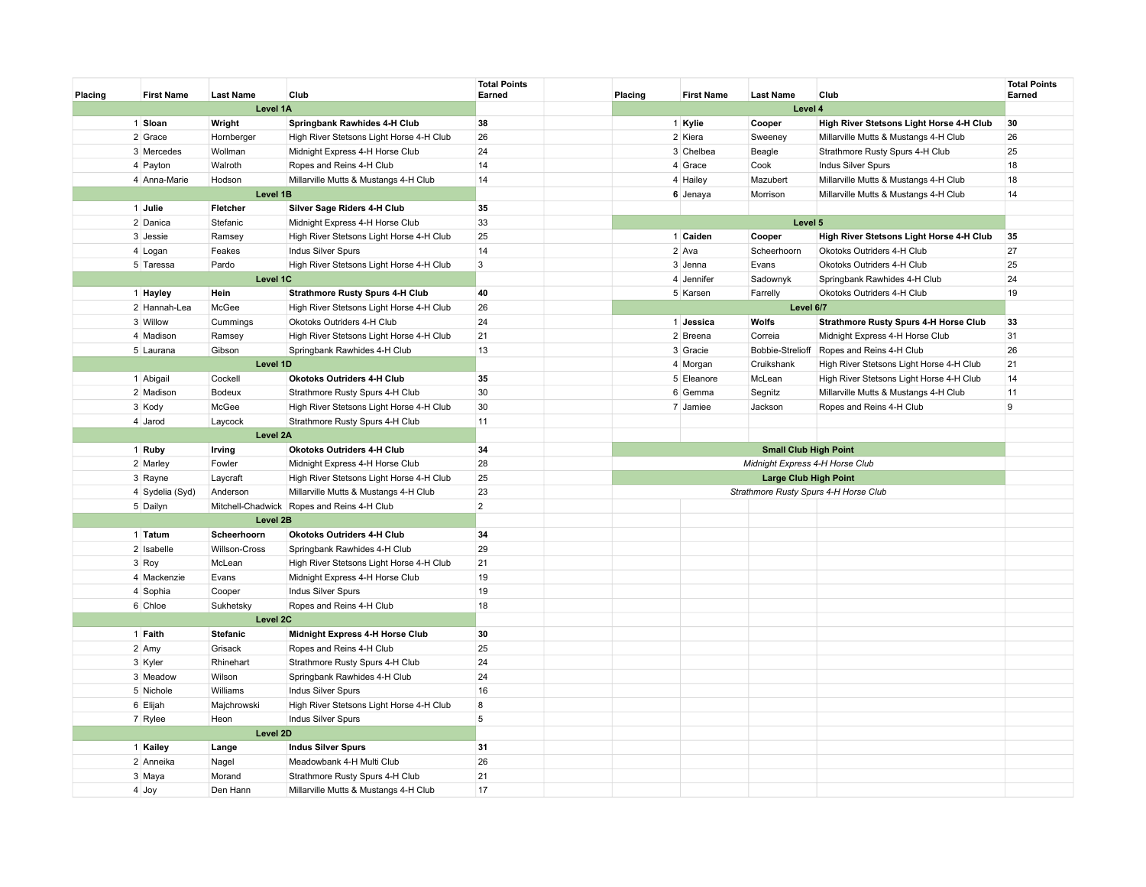| Placing | <b>First Name</b> | <b>Last Name</b> | Club                                       | <b>Total Points</b><br>Earned | Placing | <b>First Name</b> | <b>Last Name</b>                      | Club                                         | <b>Total Points</b><br>Earned |
|---------|-------------------|------------------|--------------------------------------------|-------------------------------|---------|-------------------|---------------------------------------|----------------------------------------------|-------------------------------|
|         |                   | Level 1A         |                                            |                               |         |                   | Level 4                               |                                              |                               |
|         | 1 Sloan           | Wright           | Springbank Rawhides 4-H Club               | 38                            |         | 1 Kylie           | Cooper                                | High River Stetsons Light Horse 4-H Club     | 30                            |
|         | 2 Grace           | Hornberger       | High River Stetsons Light Horse 4-H Club   | 26                            |         | 2 Kiera           | Sweeney                               | Millarville Mutts & Mustangs 4-H Club        | 26                            |
|         | 3 Mercedes        | Wollman          | Midnight Express 4-H Horse Club            | 24                            |         | 3 Chelbea         | Beagle                                | Strathmore Rusty Spurs 4-H Club              | 25                            |
|         | 4 Payton          | Walroth          | Ropes and Reins 4-H Club                   | 14                            |         | 4 Grace           | Cook                                  | Indus Silver Spurs                           | 18                            |
|         | 4 Anna-Marie      | Hodson           | Millarville Mutts & Mustangs 4-H Club      | 14                            |         | 4 Hailey          | Mazubert                              | Millarville Mutts & Mustangs 4-H Club        | 18                            |
|         |                   | Level 1B         |                                            |                               |         | 6 Jenaya          | Morrison                              | Millarville Mutts & Mustangs 4-H Club        | 14                            |
|         | 1 Julie           | Fletcher         | Silver Sage Riders 4-H Club                | 35                            |         |                   |                                       |                                              |                               |
|         | 2 Danica          | Stefanic         | Midnight Express 4-H Horse Club            | 33                            |         |                   | Level 5                               |                                              |                               |
|         | 3 Jessie          | Ramsey           | High River Stetsons Light Horse 4-H Club   | 25                            |         | 1 Caiden          | Cooper                                | High River Stetsons Light Horse 4-H Club     | 35                            |
|         | 4 Logan           | Feakes           | Indus Silver Spurs                         | 14                            |         | 2 Ava             | Scheerhoorn                           | Okotoks Outriders 4-H Club                   | 27                            |
|         | 5 Taressa         | Pardo            | High River Stetsons Light Horse 4-H Club   | $\mathbf{3}$                  |         | 3 Jenna           | Evans                                 | Okotoks Outriders 4-H Club                   | 25                            |
|         |                   | Level 1C         |                                            |                               |         | 4 Jennifer        | Sadownyk                              | Springbank Rawhides 4-H Club                 | 24                            |
|         | 1 Hayley          | Hein             | <b>Strathmore Rusty Spurs 4-H Club</b>     | 40                            |         | 5 Karsen          | Farrelly                              | Okotoks Outriders 4-H Club                   | 19                            |
|         | 2 Hannah-Lea      | McGee            | High River Stetsons Light Horse 4-H Club   | 26                            |         |                   | Level 6/7                             |                                              |                               |
|         | 3 Willow          | Cummings         | Okotoks Outriders 4-H Club                 | 24                            |         | 1 Jessica         | Wolfs                                 | <b>Strathmore Rusty Spurs 4-H Horse Club</b> | 33                            |
|         | 4 Madison         | Ramsey           | High River Stetsons Light Horse 4-H Club   | 21                            |         | 2 Breena          | Correia                               | Midnight Express 4-H Horse Club              | 31                            |
|         | 5 Laurana         | Gibson           | Springbank Rawhides 4-H Club               | 13                            |         | 3 Gracie          | Bobbie-Strelioff                      | Ropes and Reins 4-H Club                     | 26                            |
|         |                   | Level 1D         |                                            |                               |         | 4 Morgan          | Cruikshank                            | High River Stetsons Light Horse 4-H Club     | 21                            |
|         | 1 Abigail         | Cockell          | <b>Okotoks Outriders 4-H Club</b>          | 35                            |         | 5 Eleanore        | McLean                                | High River Stetsons Light Horse 4-H Club     | 14                            |
|         | 2 Madison         | <b>Bodeux</b>    | Strathmore Rusty Spurs 4-H Club            | 30                            |         | 6 Gemma           | Segnitz                               | Millarville Mutts & Mustangs 4-H Club        | 11                            |
|         | 3 Kody            | McGee            | High River Stetsons Light Horse 4-H Club   | 30                            |         | 7 Jamiee          | Jackson                               | Ropes and Reins 4-H Club                     | 9                             |
|         | 4 Jarod           | Laycock          | Strathmore Rusty Spurs 4-H Club            | 11                            |         |                   |                                       |                                              |                               |
|         |                   | Level 2A         |                                            |                               |         |                   |                                       |                                              |                               |
|         | 1 Ruby            | Irving           | <b>Okotoks Outriders 4-H Club</b>          | 34                            |         |                   | <b>Small Club High Point</b>          |                                              |                               |
|         | 2 Marley          | Fowler           | Midnight Express 4-H Horse Club            | 28                            |         |                   | Midnight Express 4-H Horse Club       |                                              |                               |
|         | 3 Rayne           | Laycraft         | High River Stetsons Light Horse 4-H Club   | 25                            |         |                   | <b>Large Club High Point</b>          |                                              |                               |
|         | 4 Sydelia (Syd)   | Anderson         | Millarville Mutts & Mustangs 4-H Club      | 23                            |         |                   | Strathmore Rusty Spurs 4-H Horse Club |                                              |                               |
|         | 5 Dailyn          |                  | Mitchell-Chadwick Ropes and Reins 4-H Club | $\overline{2}$                |         |                   |                                       |                                              |                               |
|         |                   | Level 2B         |                                            |                               |         |                   |                                       |                                              |                               |
|         | 1 Tatum           | Scheerhoorn      | <b>Okotoks Outriders 4-H Club</b>          | 34                            |         |                   |                                       |                                              |                               |
|         | 2 Isabelle        | Willson-Cross    | Springbank Rawhides 4-H Club               | 29                            |         |                   |                                       |                                              |                               |
|         | 3 Roy             | McLean           | High River Stetsons Light Horse 4-H Club   | 21                            |         |                   |                                       |                                              |                               |
|         | 4 Mackenzie       | Evans            | Midnight Express 4-H Horse Club            | 19                            |         |                   |                                       |                                              |                               |
|         | 4 Sophia          | Cooper           | Indus Silver Spurs                         | 19                            |         |                   |                                       |                                              |                               |
|         | 6 Chloe           | Sukhetsky        | Ropes and Reins 4-H Club                   | 18                            |         |                   |                                       |                                              |                               |
|         |                   | Level 2C         |                                            |                               |         |                   |                                       |                                              |                               |
|         | 1 Faith           | <b>Stefanic</b>  | Midnight Express 4-H Horse Club            | 30                            |         |                   |                                       |                                              |                               |
|         | 2 Amy             | Grisack          | Ropes and Reins 4-H Club                   | 25                            |         |                   |                                       |                                              |                               |
|         | 3 Kyler           | Rhinehart        | Strathmore Rusty Spurs 4-H Club            | 24                            |         |                   |                                       |                                              |                               |
|         | 3 Meadow          | Wilson           | Springbank Rawhides 4-H Club               | 24                            |         |                   |                                       |                                              |                               |
|         | 5 Nichole         | Williams         | Indus Silver Spurs                         | 16                            |         |                   |                                       |                                              |                               |
|         | 6 Elijah          | Majchrowski      | High River Stetsons Light Horse 4-H Club   | $\bf 8$                       |         |                   |                                       |                                              |                               |
|         | 7 Rylee           | Heon             | Indus Silver Spurs                         | 5                             |         |                   |                                       |                                              |                               |
|         |                   | Level 2D         |                                            |                               |         |                   |                                       |                                              |                               |
|         | 1 Kailey          | Lange            | <b>Indus Silver Spurs</b>                  | 31                            |         |                   |                                       |                                              |                               |
|         | 2 Anneika         | Nagel            | Meadowbank 4-H Multi Club                  | 26                            |         |                   |                                       |                                              |                               |
|         | 3 Maya            | Morand           | Strathmore Rusty Spurs 4-H Club            | 21                            |         |                   |                                       |                                              |                               |
|         | 4 Joy             | Den Hann         | Millarville Mutts & Mustangs 4-H Club      | 17                            |         |                   |                                       |                                              |                               |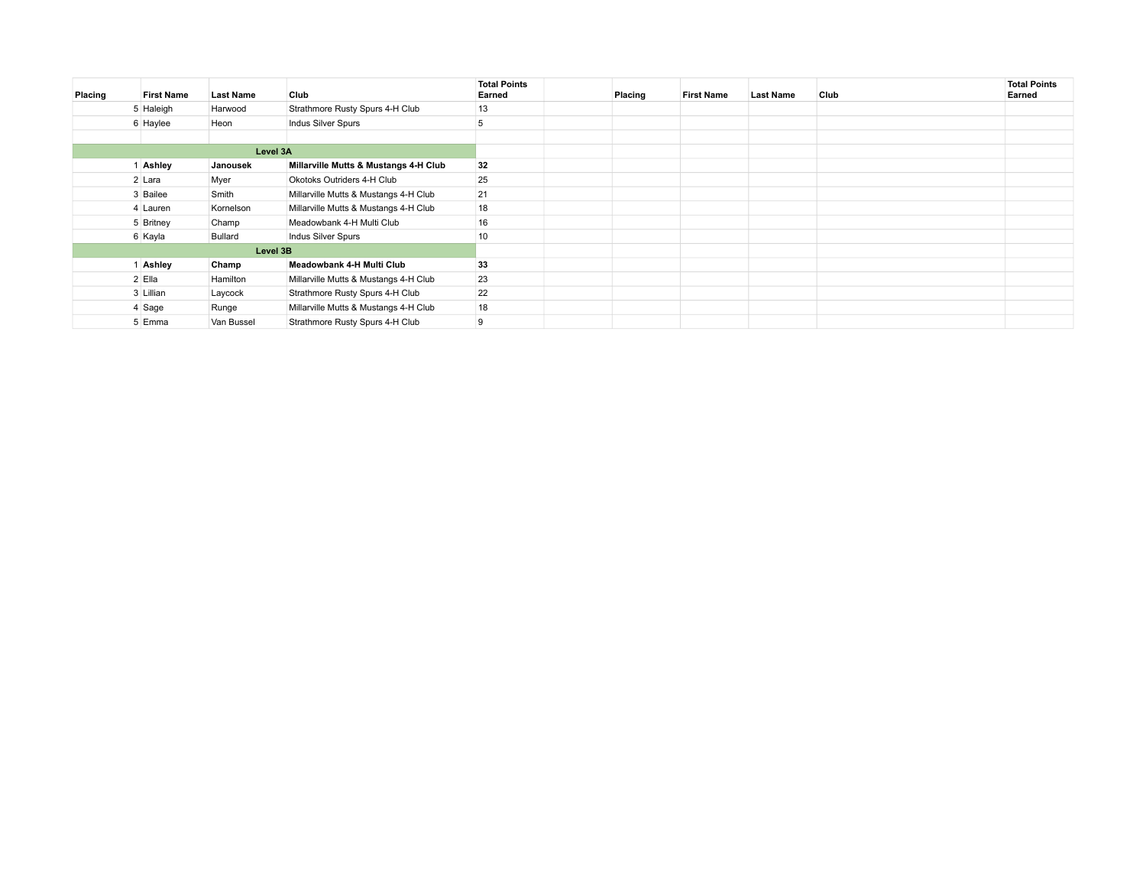| Placing  | <b>First Name</b> | <b>Last Name</b> | Club                                  | <b>Total Points</b><br>Earned | Placing | <b>First Name</b> | <b>Last Name</b> | Club | <b>Total Points</b><br>Earned |
|----------|-------------------|------------------|---------------------------------------|-------------------------------|---------|-------------------|------------------|------|-------------------------------|
|          | 5 Haleigh         | Harwood          | Strathmore Rusty Spurs 4-H Club       | 13                            |         |                   |                  |      |                               |
|          | 6 Haylee          | Heon             | Indus Silver Spurs                    | 5                             |         |                   |                  |      |                               |
|          |                   |                  |                                       |                               |         |                   |                  |      |                               |
| Level 3A |                   |                  |                                       |                               |         |                   |                  |      |                               |
|          | Ashley            | Janousek         | Millarville Mutts & Mustangs 4-H Club | 32                            |         |                   |                  |      |                               |
|          | 2 Lara            | Myer             | Okotoks Outriders 4-H Club            | 25                            |         |                   |                  |      |                               |
|          | 3 Bailee          | Smith            | Millarville Mutts & Mustangs 4-H Club | 21                            |         |                   |                  |      |                               |
|          | 4 Lauren          | Kornelson        | Millarville Mutts & Mustangs 4-H Club | 18                            |         |                   |                  |      |                               |
|          | 5 Britney         | Champ            | Meadowbank 4-H Multi Club             | 16                            |         |                   |                  |      |                               |
|          | 6 Kayla           | Bullard          | Indus Silver Spurs                    | 10                            |         |                   |                  |      |                               |
|          |                   | Level 3B         |                                       |                               |         |                   |                  |      |                               |
|          | Ashley            | Champ            | Meadowbank 4-H Multi Club             | 33                            |         |                   |                  |      |                               |
|          | 2 Ella            | Hamilton         | Millarville Mutts & Mustangs 4-H Club | 23                            |         |                   |                  |      |                               |
|          | 3 Lillian         | Laycock          | Strathmore Rusty Spurs 4-H Club       | 22                            |         |                   |                  |      |                               |
|          | 4 Sage            | Runge            | Millarville Mutts & Mustangs 4-H Club | 18                            |         |                   |                  |      |                               |
|          | 5 Emma            | Van Bussel       | Strathmore Rusty Spurs 4-H Club       | 9                             |         |                   |                  |      |                               |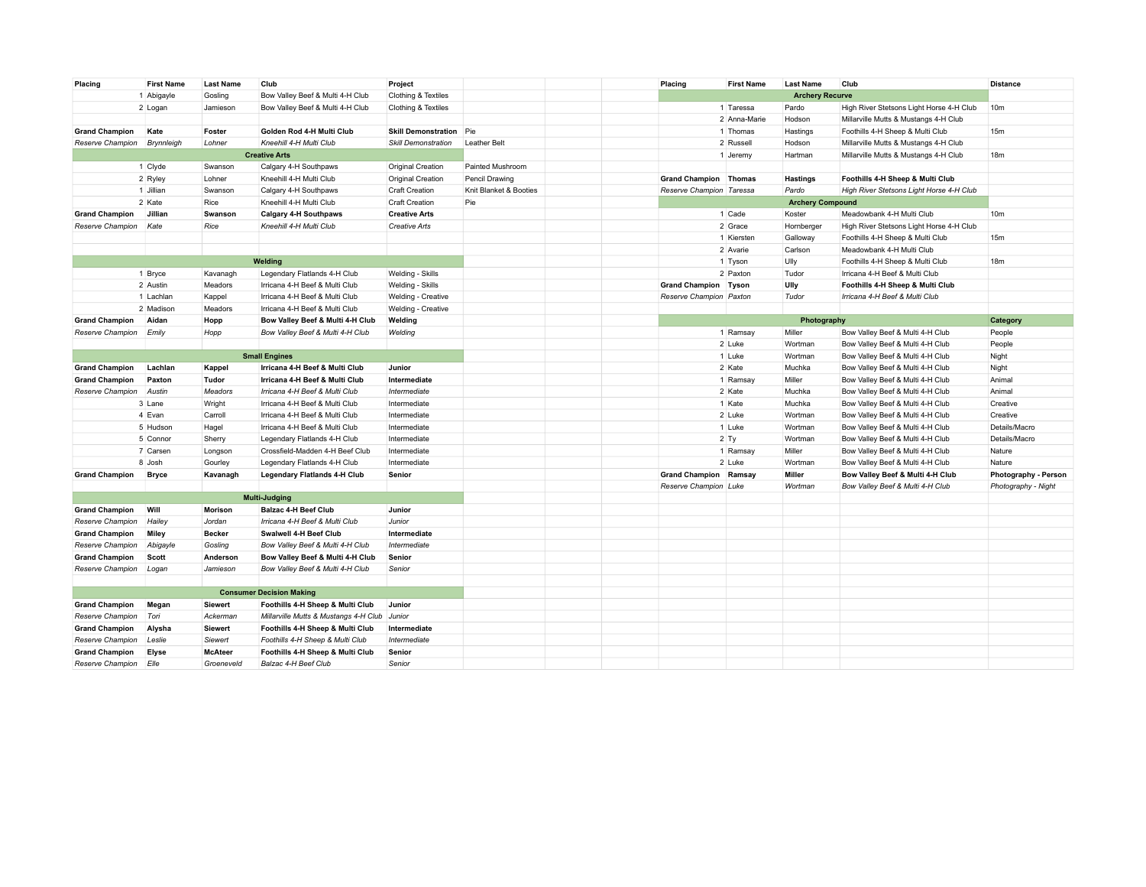| Placing               | <b>First Name</b> | <b>Last Name</b> | Club                                  | Project                    |                        | Placing                      | <b>First Name</b> | <b>Last Name</b>        | Club                                                               | <b>Distance</b>      |
|-----------------------|-------------------|------------------|---------------------------------------|----------------------------|------------------------|------------------------------|-------------------|-------------------------|--------------------------------------------------------------------|----------------------|
|                       | 1 Abigayle        | Gosling          | Bow Valley Beef & Multi 4-H Club      | Clothing & Textiles        |                        |                              |                   | <b>Archery Recurve</b>  |                                                                    |                      |
|                       | 2 Logan           | Jamieson         | Bow Valley Beef & Multi 4-H Club      | Clothing & Textiles        |                        |                              | 1 Taressa         | Pardo                   | High River Stetsons Light Horse 4-H Club                           | 10 <sub>m</sub>      |
|                       |                   |                  |                                       |                            |                        |                              | 2 Anna-Marie      | Hodson                  | Millarville Mutts & Mustangs 4-H Club                              |                      |
| <b>Grand Champion</b> | Kate              | Foster           | Golden Rod 4-H Multi Club             | <b>Skill Demonstration</b> | Pie                    |                              | 1 Thomas          | Hastings                | Foothills 4-H Sheep & Multi Club                                   | 15 <sub>m</sub>      |
| Reserve Champion      | Brynnleigh        | Lohner           | Kneehill 4-H Multi Club               | <b>Skill Demonstration</b> | <b>Leather Belt</b>    |                              | 2 Russell         | Hodson                  | Millarville Mutts & Mustangs 4-H Club                              |                      |
|                       |                   |                  | <b>Creative Arts</b>                  |                            |                        |                              | 1 Jeremy          | Hartman                 | Millarville Mutts & Mustangs 4-H Club                              | 18 <sub>m</sub>      |
|                       | 1 Clyde           | Swanson          | Calgary 4-H Southpaws                 | Original Creation          | Painted Mushroom       |                              |                   |                         |                                                                    |                      |
|                       | 2 Ryley           | Lohner           | Kneehill 4-H Multi Club               | Original Creation          | Pencil Drawing         | <b>Grand Champion Thomas</b> |                   | <b>Hastings</b>         | Foothills 4-H Sheep & Multi Club                                   |                      |
|                       | 1 Jillian         | Swanson          | Calgary 4-H Southpaws                 | <b>Craft Creation</b>      | Knit Blanket & Booties | Reserve Champion Taressa     |                   | Pardo                   | High River Stetsons Light Horse 4-H Club                           |                      |
|                       | 2 Kate            | Rice             | Kneehill 4-H Multi Club               | <b>Craft Creation</b>      | Pie                    |                              |                   | <b>Archery Compound</b> |                                                                    |                      |
| <b>Grand Champion</b> | Jillian           | Swanson          | <b>Calgary 4-H Southpaws</b>          | <b>Creative Arts</b>       |                        |                              | 1 Cade            | Koster                  | Meadowbank 4-H Multi Club                                          | 10 <sub>m</sub>      |
| Reserve Champion      | Kate              | Rice             | Kneehill 4-H Multi Club               | <b>Creative Arts</b>       |                        |                              | 2 Grace           | Hornberger              | High River Stetsons Light Horse 4-H Club                           |                      |
|                       |                   |                  |                                       |                            |                        |                              | 1 Kiersten        | Galloway                | Foothills 4-H Sheep & Multi Club                                   | 15m                  |
|                       |                   |                  |                                       |                            |                        |                              | 2 Avarie          | Carlson                 | Meadowbank 4-H Multi Club                                          |                      |
|                       |                   |                  | Welding                               |                            |                        |                              | 1 Tyson           | Ully                    | Foothills 4-H Sheep & Multi Club                                   | 18 <sub>m</sub>      |
|                       | 1 Bryce           | Kavanagh         | Legendary Flatlands 4-H Club          | Welding - Skills           |                        |                              | 2 Paxton          | Tudor                   | Irricana 4-H Beef & Multi Club                                     |                      |
|                       | 2 Austin          | Meadors          | Irricana 4-H Beef & Multi Club        |                            |                        | <b>Grand Champion Tyson</b>  |                   | Ully                    |                                                                    |                      |
|                       |                   |                  |                                       | Welding - Skills           |                        |                              |                   | Tudor                   | Foothills 4-H Sheep & Multi Club<br>Irricana 4-H Beef & Multi Club |                      |
|                       | 1 Lachlan         | Kappel           | Irricana 4-H Beef & Multi Club        | Welding - Creative         |                        | Reserve Champion Paxton      |                   |                         |                                                                    |                      |
|                       | 2 Madison         | Meadors          | Irricana 4-H Beef & Multi Club        | Welding - Creative         |                        |                              |                   |                         |                                                                    |                      |
| <b>Grand Champion</b> | Aidan             | Hopp             | Bow Valley Beef & Multi 4-H Club      | Welding                    |                        |                              |                   | Photography             |                                                                    | Category             |
| Reserve Champion      | Emily             | Hopp             | Bow Valley Beef & Multi 4-H Club      | Welding                    |                        |                              | 1 Ramsay          | Miller                  | Bow Valley Beef & Multi 4-H Club                                   | People               |
|                       |                   |                  |                                       |                            |                        |                              | 2 Luke            | Wortman                 | Bow Valley Beef & Multi 4-H Club                                   | People               |
|                       |                   |                  | <b>Small Engines</b>                  |                            |                        |                              | 1 Luke            | Wortman                 | Bow Valley Beef & Multi 4-H Club                                   | Night                |
| <b>Grand Champion</b> | Lachlan           | Kappel           | Irricana 4-H Beef & Multi Club        | Junior                     |                        |                              | 2 Kate            | Muchka                  | Bow Valley Beef & Multi 4-H Club                                   | Night                |
| <b>Grand Champion</b> | Paxton            | Tudor            | Irricana 4-H Beef & Multi Club        | Intermediate               |                        |                              | 1 Ramsay          | Miller                  | Bow Valley Beef & Multi 4-H Club                                   | Animal               |
| Reserve Champion      | Austin            | Meadors          | Irricana 4-H Beef & Multi Club        | Intermediate               |                        |                              | 2 Kate            | Muchka                  | Bow Valley Beef & Multi 4-H Club                                   | Animal               |
|                       | 3 Lane            | Wright           | Irricana 4-H Beef & Multi Club        | Intermediate               |                        |                              | 1 Kate            | Muchka                  | Bow Valley Beef & Multi 4-H Club                                   | Creative             |
|                       | 4 Evan            | Carroll          | Irricana 4-H Beef & Multi Club        | Intermediate               |                        |                              | 2 Luke            | Wortman                 | Bow Valley Beef & Multi 4-H Club                                   | Creative             |
|                       | 5 Hudson          | Hagel            | Irricana 4-H Beef & Multi Club        | Intermediate               |                        |                              | 1 Luke            | Wortman                 | Bow Valley Beef & Multi 4-H Club                                   | Details/Macro        |
|                       | 5 Connor          | Sherry           | Legendary Flatlands 4-H Club          | Intermediate               |                        |                              | $2$ Ty            | Wortman                 | Bow Valley Beef & Multi 4-H Club                                   | Details/Macro        |
|                       | 7 Carsen          | Longson          | Crossfield-Madden 4-H Beef Club       | Intermediate               |                        |                              | 1 Ramsay          | Miller                  | Bow Valley Beef & Multi 4-H Club                                   | Nature               |
|                       | 8 Josh            | Gourley          | Legendary Flatlands 4-H Club          | Intermediate               |                        |                              | 2 Luke            | Wortman                 | Bow Valley Beef & Multi 4-H Club                                   | Nature               |
| <b>Grand Champion</b> | <b>Bryce</b>      | Kavanagh         | <b>Legendary Flatlands 4-H Club</b>   | Senior                     |                        | <b>Grand Champion Ramsay</b> |                   | Miller                  | Bow Valley Beef & Multi 4-H Club                                   | Photography - Person |
|                       |                   |                  |                                       |                            |                        | Reserve Champion Luke        |                   | Wortman                 | Bow Valley Beef & Multi 4-H Club                                   | Photography - Night  |
|                       |                   |                  | <b>Multi-Judging</b>                  |                            |                        |                              |                   |                         |                                                                    |                      |
| <b>Grand Champion</b> | Will              | <b>Morison</b>   | <b>Balzac 4-H Beef Club</b>           | Junior                     |                        |                              |                   |                         |                                                                    |                      |
| Reserve Champion      | Hailey            | Jordan           | Irricana 4-H Beef & Multi Club        | Junior                     |                        |                              |                   |                         |                                                                    |                      |
| <b>Grand Champion</b> | <b>Miley</b>      | <b>Becker</b>    | Swalwell 4-H Beef Club                | Intermediate               |                        |                              |                   |                         |                                                                    |                      |
| Reserve Champion      | Abigayle          | Gosling          | Bow Valley Beef & Multi 4-H Club      | Intermediate               |                        |                              |                   |                         |                                                                    |                      |
| <b>Grand Champion</b> | Scott             | Anderson         | Bow Valley Beef & Multi 4-H Club      | Senior                     |                        |                              |                   |                         |                                                                    |                      |
| Reserve Champion      | Logan             | Jamieson         | Bow Valley Beef & Multi 4-H Club      | Senior                     |                        |                              |                   |                         |                                                                    |                      |
|                       |                   |                  |                                       |                            |                        |                              |                   |                         |                                                                    |                      |
|                       |                   |                  | <b>Consumer Decision Making</b>       |                            |                        |                              |                   |                         |                                                                    |                      |
| <b>Grand Champion</b> | Megan             | <b>Siewert</b>   | Foothills 4-H Sheep & Multi Club      | Junior                     |                        |                              |                   |                         |                                                                    |                      |
| Reserve Champion      | Tori              | Ackerman         | Millarville Mutts & Mustangs 4-H Club | Junior                     |                        |                              |                   |                         |                                                                    |                      |
| <b>Grand Champion</b> | Alysha            | <b>Siewert</b>   | Foothills 4-H Sheep & Multi Club      | Intermediate               |                        |                              |                   |                         |                                                                    |                      |
| Reserve Champion      | Leslie            | Siewert          | Foothills 4-H Sheep & Multi Club      | Intermediate               |                        |                              |                   |                         |                                                                    |                      |
| <b>Grand Champion</b> | Elyse             | <b>McAteer</b>   | Foothills 4-H Sheep & Multi Club      | Senior                     |                        |                              |                   |                         |                                                                    |                      |
| Reserve Champion      | Elle              | Groeneveld       | Balzac 4-H Beef Club                  | Senior                     |                        |                              |                   |                         |                                                                    |                      |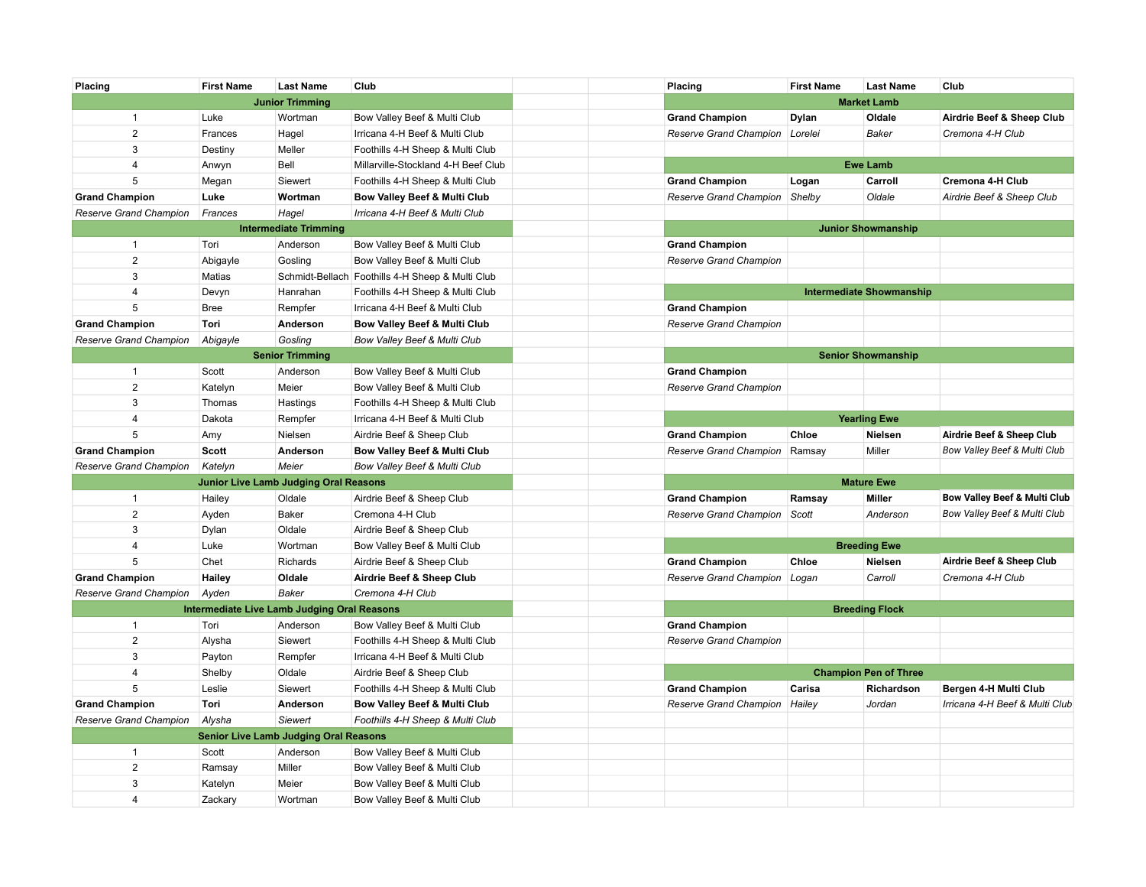| Placing                | <b>First Name</b>                                  | <b>Last Name</b>             | Club                                             | Placing                | <b>First Name</b>   | <b>Last Name</b>                | Club                                    |
|------------------------|----------------------------------------------------|------------------------------|--------------------------------------------------|------------------------|---------------------|---------------------------------|-----------------------------------------|
|                        |                                                    | <b>Junior Trimming</b>       |                                                  |                        |                     | <b>Market Lamb</b>              |                                         |
| $\mathbf{1}$           | Luke                                               | Wortman                      | Bow Valley Beef & Multi Club                     | <b>Grand Champion</b>  | Dylan               | Oldale                          | Airdrie Beef & Sheep Club               |
| $\overline{2}$         | Frances                                            | Hagel                        | Irricana 4-H Beef & Multi Club                   | Reserve Grand Champion | Lorelei             | <b>Baker</b>                    | Cremona 4-H Club                        |
| 3                      | Destiny                                            | Meller                       | Foothills 4-H Sheep & Multi Club                 |                        |                     |                                 |                                         |
| 4                      | Anwyn                                              | Bell                         | Millarville-Stockland 4-H Beef Club              |                        |                     | <b>Ewe Lamb</b>                 |                                         |
| 5                      | Megan                                              | Siewert                      | Foothills 4-H Sheep & Multi Club                 | <b>Grand Champion</b>  | Logan               | Carroll                         | Cremona 4-H Club                        |
| <b>Grand Champion</b>  | Luke                                               | Wortman                      | Bow Valley Beef & Multi Club                     | Reserve Grand Champion | Shelby              | Oldale                          | Airdrie Beef & Sheep Club               |
| Reserve Grand Champion | Frances                                            | Hagel                        | Irricana 4-H Beef & Multi Club                   |                        |                     |                                 |                                         |
|                        |                                                    | <b>Intermediate Trimming</b> |                                                  |                        |                     | <b>Junior Showmanship</b>       |                                         |
| $\mathbf{1}$           | Tori                                               | Anderson                     | Bow Valley Beef & Multi Club                     | <b>Grand Champion</b>  |                     |                                 |                                         |
| $\overline{2}$         | Abigayle                                           | Gosling                      | Bow Valley Beef & Multi Club                     | Reserve Grand Champion |                     |                                 |                                         |
| 3                      | Matias                                             |                              | Schmidt-Bellach Foothills 4-H Sheep & Multi Club |                        |                     |                                 |                                         |
| 4                      | Devyn                                              | Hanrahan                     | Foothills 4-H Sheep & Multi Club                 |                        |                     | <b>Intermediate Showmanship</b> |                                         |
| 5                      | <b>Bree</b>                                        | Rempfer                      | Irricana 4-H Beef & Multi Club                   | <b>Grand Champion</b>  |                     |                                 |                                         |
| <b>Grand Champion</b>  | Tori                                               | Anderson                     | Bow Valley Beef & Multi Club                     | Reserve Grand Champion |                     |                                 |                                         |
| Reserve Grand Champion | Abigayle                                           | Gosling                      | Bow Valley Beef & Multi Club                     |                        |                     |                                 |                                         |
|                        |                                                    | <b>Senior Trimming</b>       |                                                  |                        |                     | <b>Senior Showmanship</b>       |                                         |
| $\mathbf{1}$           | Scott                                              | Anderson                     | Bow Valley Beef & Multi Club                     | <b>Grand Champion</b>  |                     |                                 |                                         |
| $\overline{2}$         | Katelyn                                            | Meier                        | Bow Valley Beef & Multi Club                     | Reserve Grand Champion |                     |                                 |                                         |
| 3                      | Thomas                                             | Hastings                     | Foothills 4-H Sheep & Multi Club                 |                        |                     |                                 |                                         |
| 4                      | Dakota                                             | Rempfer                      | Irricana 4-H Beef & Multi Club                   |                        | <b>Yearling Ewe</b> |                                 |                                         |
| 5                      | Amy                                                | Nielsen                      | Airdrie Beef & Sheep Club                        | <b>Grand Champion</b>  | Chloe               | Nielsen                         | Airdrie Beef & Sheep Club               |
| <b>Grand Champion</b>  | Scott                                              | Anderson                     | Bow Valley Beef & Multi Club                     | Reserve Grand Champion | Ramsay              | Miller                          | Bow Valley Beef & Multi Club            |
| Reserve Grand Champion | Katelyn                                            | Meier                        | Bow Valley Beef & Multi Club                     |                        |                     |                                 |                                         |
|                        | <b>Junior Live Lamb Judging Oral Reasons</b>       |                              |                                                  | <b>Mature Ewe</b>      |                     |                                 |                                         |
| $\mathbf{1}$           | Hailey                                             | Oldale                       | Airdrie Beef & Sheep Club                        | <b>Grand Champion</b>  | Ramsay              | Miller                          | <b>Bow Valley Beef &amp; Multi Club</b> |
| $\overline{2}$         | Ayden                                              | Baker                        | Cremona 4-H Club                                 | Reserve Grand Champion | Scott               | Anderson                        | Bow Valley Beef & Multi Club            |
| 3                      | Dylan                                              | Oldale                       | Airdrie Beef & Sheep Club                        |                        |                     |                                 |                                         |
| 4                      | Luke                                               | Wortman                      | Bow Valley Beef & Multi Club                     |                        |                     | <b>Breeding Ewe</b>             |                                         |
| 5                      | Chet                                               | Richards                     | Airdrie Beef & Sheep Club                        | <b>Grand Champion</b>  | Chloe               | Nielsen                         | Airdrie Beef & Sheep Club               |
| <b>Grand Champion</b>  | Hailey                                             | Oldale                       | Airdrie Beef & Sheep Club                        | Reserve Grand Champion | Logan               | Carroll                         | Cremona 4-H Club                        |
| Reserve Grand Champion | Ayden                                              | <b>Baker</b>                 | Cremona 4-H Club                                 |                        |                     |                                 |                                         |
|                        | <b>Intermediate Live Lamb Judging Oral Reasons</b> |                              |                                                  |                        |                     | <b>Breeding Flock</b>           |                                         |
| $\mathbf{1}$           | Tori                                               | Anderson                     | Bow Valley Beef & Multi Club                     | <b>Grand Champion</b>  |                     |                                 |                                         |
| $\overline{2}$         | Alysha                                             | Siewert                      | Foothills 4-H Sheep & Multi Club                 | Reserve Grand Champion |                     |                                 |                                         |
| 3                      | Payton                                             | Rempfer                      | Irricana 4-H Beef & Multi Club                   |                        |                     |                                 |                                         |
| 4                      | Shelby                                             | Oldale                       | Airdrie Beef & Sheep Club                        |                        |                     | <b>Champion Pen of Three</b>    |                                         |
| 5                      | Leslie                                             | Siewert                      | Foothills 4-H Sheep & Multi Club                 | <b>Grand Champion</b>  | Carisa              | Richardson                      | Bergen 4-H Multi Club                   |
| <b>Grand Champion</b>  | Tori                                               | Anderson                     | Bow Valley Beef & Multi Club                     | Reserve Grand Champion | Hailey              | Jordan                          | Irricana 4-H Beef & Multi Club          |
| Reserve Grand Champion | Alysha                                             | Siewert                      | Foothills 4-H Sheep & Multi Club                 |                        |                     |                                 |                                         |
|                        | <b>Senior Live Lamb Judging Oral Reasons</b>       |                              |                                                  |                        |                     |                                 |                                         |
| $\mathbf{1}$           | Scott                                              | Anderson                     | Bow Valley Beef & Multi Club                     |                        |                     |                                 |                                         |
| $\overline{2}$         | Ramsay                                             | Miller                       | Bow Valley Beef & Multi Club                     |                        |                     |                                 |                                         |
| 3                      | Katelyn                                            | Meier                        | Bow Valley Beef & Multi Club                     |                        |                     |                                 |                                         |
| 4                      | Zackary                                            | Wortman                      | Bow Valley Beef & Multi Club                     |                        |                     |                                 |                                         |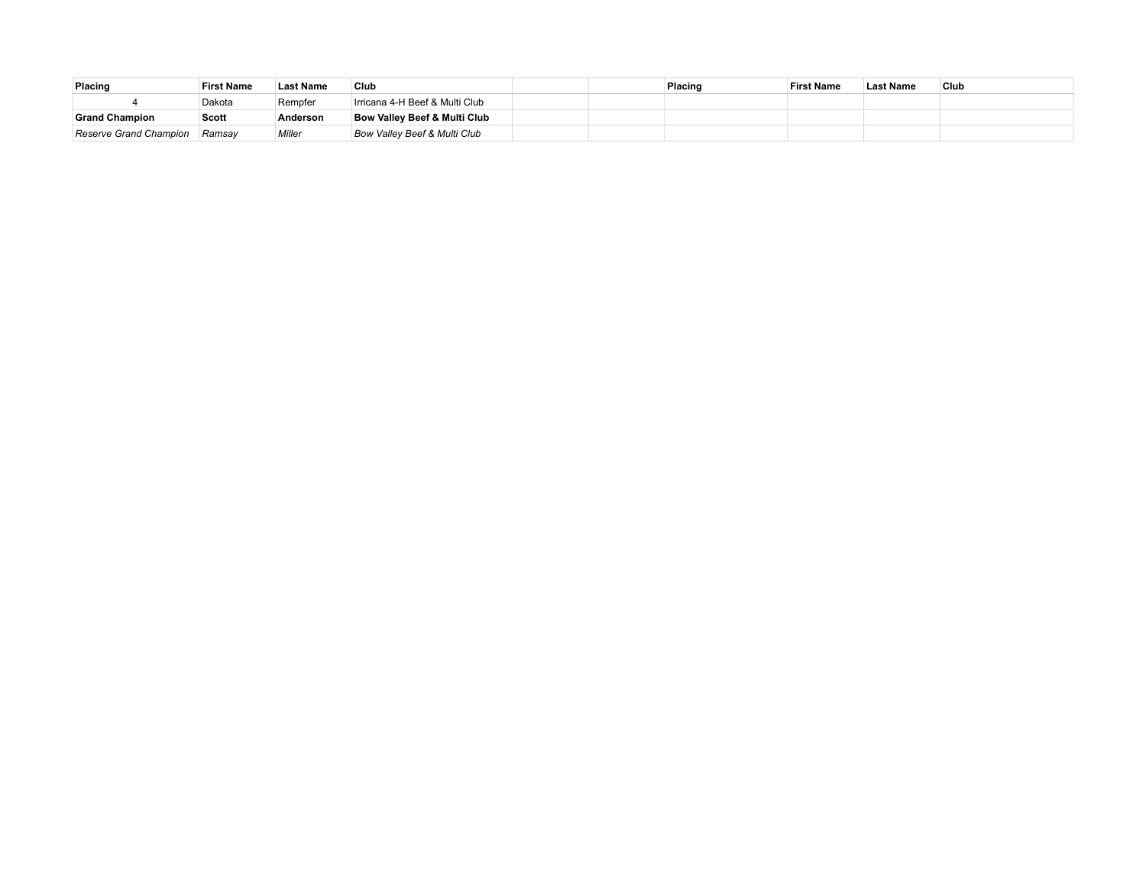| Placing                       | <b>First Name</b> | <b>Last Name</b> | Club                                    |  | Placing | <b>First Name</b> | <b>Last Name</b> | ' Club |
|-------------------------------|-------------------|------------------|-----------------------------------------|--|---------|-------------------|------------------|--------|
|                               | Dakota            | Rempfer          | Irricana 4-H Beef & Multi Club          |  |         |                   |                  |        |
| <b>Grand Champion</b>         | Scott             | Anderson         | <b>Bow Valley Beef &amp; Multi Club</b> |  |         |                   |                  |        |
| <b>Reserve Grand Champion</b> | Ramsav            | Miller           | <b>Bow Valley Beef &amp; Multi Club</b> |  |         |                   |                  |        |